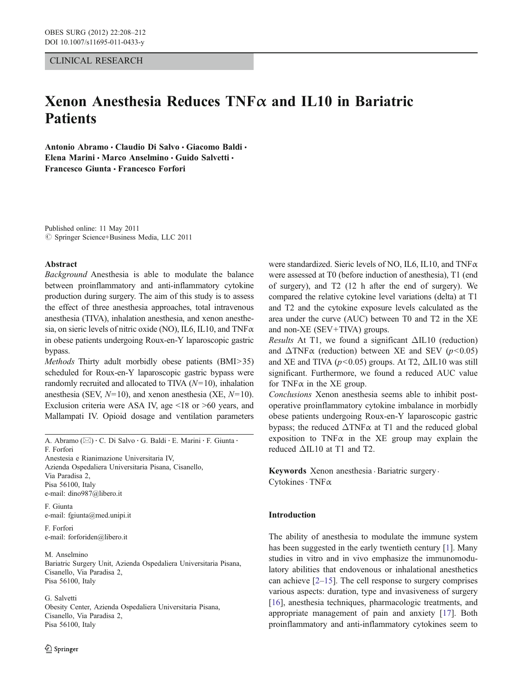#### CLINICAL RESEARCH

# Xenon Anesthesia Reduces  $TNF\alpha$  and IL10 in Bariatric **Patients**

Antonio Abramo & Claudio Di Salvo & Giacomo Baldi & Elena Marini · Marco Anselmino · Guido Salvetti · Francesco Giunta & Francesco Forfori

Published online: 11 May 2011  $\oslash$  Springer Science+Business Media, LLC 2011

#### Abstract

Background Anesthesia is able to modulate the balance between proinflammatory and anti-inflammatory cytokine production during surgery. The aim of this study is to assess the effect of three anesthesia approaches, total intravenous anesthesia (TIVA), inhalation anesthesia, and xenon anesthesia, on sieric levels of nitric oxide (NO), IL6, IL10, and TNFα in obese patients undergoing Roux-en-Y laparoscopic gastric bypass.

Methods Thirty adult morbidly obese patients (BMI>35) scheduled for Roux-en-Y laparoscopic gastric bypass were randomly recruited and allocated to TIVA  $(N=10)$ , inhalation anesthesia (SEV,  $N=10$ ), and xenon anesthesia (XE,  $N=10$ ). Exclusion criteria were ASA IV, age <18 or >60 years, and Mallampati IV. Opioid dosage and ventilation parameters

A. Abramo ( $\boxtimes$ ) · C. Di Salvo · G. Baldi · E. Marini · F. Giunta · F. Forfori Anestesia e Rianimazione Universitaria IV,

Azienda Ospedaliera Universitaria Pisana, Cisanello, Via Paradisa 2, Pisa 56100, Italy e-mail: dino987@libero.it

F. Giunta e-mail: fgiunta@med.unipi.it

F. Forfori e-mail: forforiden@libero.it

M. Anselmino Bariatric Surgery Unit, Azienda Ospedaliera Universitaria Pisana, Cisanello, Via Paradisa 2, Pisa 56100, Italy

G. Salvetti Obesity Center, Azienda Ospedaliera Universitaria Pisana, Cisanello, Via Paradisa 2, Pisa 56100, Italy

were standardized. Sieric levels of NO, IL6, IL10, and TNFα were assessed at T0 (before induction of anesthesia), T1 (end of surgery), and T2 (12 h after the end of surgery). We compared the relative cytokine level variations (delta) at T1 and T2 and the cytokine exposure levels calculated as the area under the curve (AUC) between T0 and T2 in the XE and non-XE (SEV+TIVA) groups.

Results At T1, we found a significant ΔIL10 (reduction) and  $\triangle TNF\alpha$  (reduction) between XE and SEV ( $p<0.05$ ) and XE and TIVA ( $p$ <0.05) groups. At T2,  $\Delta$ IL10 was still significant. Furthermore, we found a reduced AUC value for TNF $\alpha$  in the XE group.

Conclusions Xenon anesthesia seems able to inhibit postoperative proinflammatory cytokine imbalance in morbidly obese patients undergoing Roux-en-Y laparoscopic gastric bypass; the reduced  $\Delta TNF\alpha$  at T1 and the reduced global exposition to  $TNF\alpha$  in the XE group may explain the reduced ΔIL10 at T1 and T2.

Keywords Xenon anesthesia . Bariatric surgery. Cytokines. TNFα

#### Introduction

The ability of anesthesia to modulate the immune system has been suggested in the early twentieth century [[1\]](#page-3-0). Many studies in vitro and in vivo emphasize the immunomodulatory abilities that endovenous or inhalational anesthetics can achieve  $[2-15]$  $[2-15]$  $[2-15]$  $[2-15]$ . The cell response to surgery comprises various aspects: duration, type and invasiveness of surgery [\[16](#page-4-0)], anesthesia techniques, pharmacologic treatments, and appropriate management of pain and anxiety [\[17](#page-4-0)]. Both proinflammatory and anti-inflammatory cytokines seem to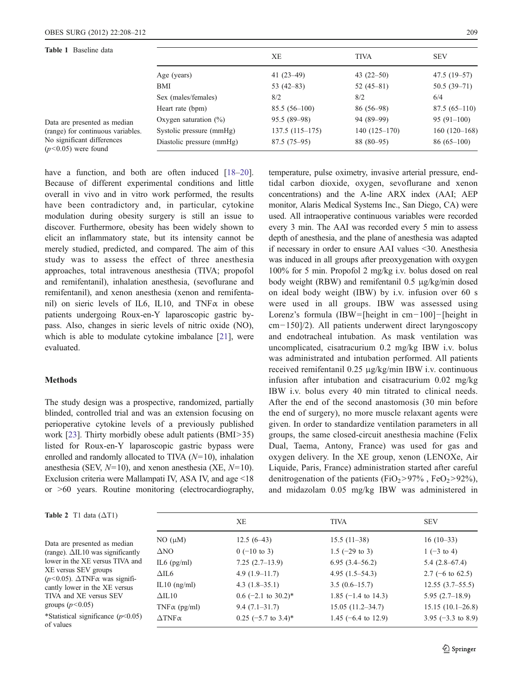<span id="page-1-0"></span>Tab

 $(n<sub>5</sub>)$ 

| <b>Table 1</b> Baseline data                                                                                             |                           | XЕ               | <b>TIVA</b>    | <b>SEV</b>     |
|--------------------------------------------------------------------------------------------------------------------------|---------------------------|------------------|----------------|----------------|
|                                                                                                                          | Age (years)               | 41 $(23-49)$     | 43 $(22-50)$   | $47.5(19-57)$  |
|                                                                                                                          | BMI                       | 53 $(42-83)$     | $52(45-81)$    | $50.5(39-71)$  |
|                                                                                                                          | Sex (males/females)       | 8/2              | 8/2            | 6/4            |
|                                                                                                                          | Heart rate (bpm)          | $85.5(56-100)$   | $86(56-98)$    | $87.5(65-110)$ |
| Data are presented as median<br>(range) for continuous variables.<br>No significant differences<br>$(p<0.05)$ were found | Oxygen saturation $(\%)$  | $95.5(89-98)$    | 94 (89–99)     | $95(91-100)$   |
|                                                                                                                          | Systolic pressure (mmHg)  | $137.5(115-175)$ | $140(125-170)$ | $160(120-168)$ |
|                                                                                                                          | Diastolic pressure (mmHg) | $87.5(75-95)$    | 88 (80–95)     | $86(65-100)$   |

have a function, and both are often induced [\[18](#page-4-0)–[20](#page-4-0)]. Because of different experimental conditions and little overall in vivo and in vitro work performed, the results have been contradictory and, in particular, cytokine modulation during obesity surgery is still an issue to discover. Furthermore, obesity has been widely shown to elicit an inflammatory state, but its intensity cannot be merely studied, predicted, and compared. The aim of this study was to assess the effect of three anesthesia approaches, total intravenous anesthesia (TIVA; propofol and remifentanil), inhalation anesthesia, (sevoflurane and remifentanil), and xenon anesthesia (xenon and remifentanil) on sieric levels of IL6, IL10, and TNF $\alpha$  in obese patients undergoing Roux-en-Y laparoscopic gastric bypass. Also, changes in sieric levels of nitric oxide (NO), which is able to modulate cytokine imbalance [\[21](#page-4-0)], were evaluated.

# Methods

of values

The study design was a prospective, randomized, partially blinded, controlled trial and was an extension focusing on perioperative cytokine levels of a previously published work [[23\]](#page-4-0). Thirty morbidly obese adult patients (BMI>35) listed for Roux-en-Y laparoscopic gastric bypass were enrolled and randomly allocated to TIVA  $(N=10)$ , inhalation anesthesia (SEV,  $N=10$ ), and xenon anesthesia (XE,  $N=10$ ). Exclusion criteria were Mallampati IV, ASA IV, and age <18 or >60 years. Routine monitoring (electrocardiography,

temperature, pulse oximetry, invasive arterial pressure, endtidal carbon dioxide, oxygen, sevoflurane and xenon concentrations) and the A-line ARX index (AAI; AEP monitor, Alaris Medical Systems Inc., San Diego, CA) were used. All intraoperative continuous variables were recorded every 3 min. The AAI was recorded every 5 min to assess depth of anesthesia, and the plane of anesthesia was adapted if necessary in order to ensure AAI values <30. Anesthesia was induced in all groups after preoxygenation with oxygen 100% for 5 min. Propofol 2 mg/kg i.v. bolus dosed on real body weight (RBW) and remifentanil 0.5 μg/kg/min dosed on ideal body weight (IBW) by i.v. infusion over 60 s were used in all groups. IBW was assessed using Lorenz's formula (IBW= [height in cm−100]−[height in cm−150]/2). All patients underwent direct laryngoscopy and endotracheal intubation. As mask ventilation was uncomplicated, cisatracurium 0.2 mg/kg IBW i.v. bolus was administrated and intubation performed. All patients received remifentanil 0.25 μg/kg/min IBW i.v. continuous infusion after intubation and cisatracurium 0.02 mg/kg IBW i.v. bolus every 40 min titrated to clinical needs. After the end of the second anastomosis (30 min before the end of surgery), no more muscle relaxant agents were given. In order to standardize ventilation parameters in all groups, the same closed-circuit anesthesia machine (Felix Dual, Taema, Antony, France) was used for gas and oxygen delivery. In the XE group, xenon (LENOXe, Air Liquide, Paris, France) administration started after careful denitrogenation of the patients (FiO<sub>2</sub>>97%, FeO<sub>2</sub>>92%), and midazolam 0.05 mg/kg IBW was administered in

| <b>Table 2</b> T1 data $(\Delta T1)$                                                                                                |                       | XE                    | <b>TIVA</b>                    | <b>SEV</b>                    |
|-------------------------------------------------------------------------------------------------------------------------------------|-----------------------|-----------------------|--------------------------------|-------------------------------|
| Data are presented as median<br>(range). $\Delta$ IL10 was significantly<br>lower in the XE versus TIVA and<br>XE versus SEV groups | $NO(\mu M)$           | $12.5(6-43)$          | $15.5(11-38)$                  | $16(10-33)$                   |
|                                                                                                                                     | $\Delta$ NO           | $0$ (-10 to 3)        | $1.5$ (-29 to 3)               | $1(-3 \text{ to } 4)$         |
|                                                                                                                                     | IL6 $(pg/ml)$         | $7.25(2.7-13.9)$      | $6.95(3.4 - 56.2)$             | $5.4(2.8-67.4)$               |
|                                                                                                                                     | $\triangle$ IL6       | $4.9(1.9-11.7)$       | $4.95(1.5-54.3)$               | 2.7 ( $-6$ to 62.5)           |
| $(p<0.05)$ . $\Delta$ TNF $\alpha$ was signifi-<br>cantly lower in the XE versus                                                    | IL10 $(ng/ml)$        | $4.3(1.8-35.1)$       | $3.5(0.6-15.7)$                | $12.55(3.7-55.5)$             |
| TIVA and XE versus SEV<br>groups $(p<0.05)$                                                                                         | $\Delta$ IL10         | $0.6$ (-2.1 to 30.2)* | 1.85 $(-1.4 \text{ to } 14.3)$ | $5.95(2.7-18.9)$              |
|                                                                                                                                     | TNF $\alpha$ (pg/ml)  | $9.4(7.1 - 31.7)$     | $15.05(11.2 - 34.7)$           | $15.15(10.1-26.8)$            |
| *Statistical significance $(p<0.05)$<br>of values                                                                                   | $\Delta$ TNF $\alpha$ | $0.25$ (-5.7 to 3.4)* | 1.45 $(-6.4 \text{ to } 12.9)$ | 3.95 $(-3.3 \text{ to } 8.9)$ |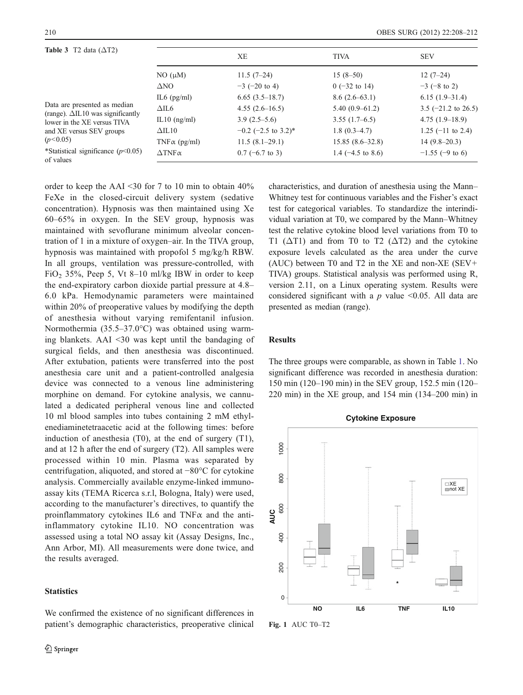<span id="page-2-0"></span>

| <b>Table 3</b> T2 data $(\Delta T2)$<br>Data are presented as median<br>(range). $\Delta$ IL10 was significantly<br>lower in the XE versus TIVA<br>and XE versus SEV groups<br>(p<0.05) |                       | XЕ                    | <b>TIVA</b>                  | <b>SEV</b>                     |
|-----------------------------------------------------------------------------------------------------------------------------------------------------------------------------------------|-----------------------|-----------------------|------------------------------|--------------------------------|
|                                                                                                                                                                                         | $NO(\mu M)$           | $11.5(7-24)$          | $15(8-50)$                   | $12(7-24)$                     |
|                                                                                                                                                                                         | $\Delta$ NO           | $-3$ (-20 to 4)       | $0$ (-32 to 14)              | $-3$ (-8 to 2)                 |
|                                                                                                                                                                                         | IL6 $(pg/ml)$         | $6.65(3.5-18.7)$      | $8.6(2.6-63.1)$              | $6.15(1.9-31.4)$               |
|                                                                                                                                                                                         | $\triangle$ IL6       | $4.55(2.6-16.5)$      | $5.40(0.9-61.2)$             | 3.5 $(-21.2 \text{ to } 26.5)$ |
|                                                                                                                                                                                         | IL10 $(ng/ml)$        | $3.9(2.5-5.6)$        | $3.55(1.7-6.5)$              | $4.75(1.9-18.9)$               |
|                                                                                                                                                                                         | $\triangle$ IL10      | $-0.2$ (-2.5 to 3.2)* | $1.8(0.3-4.7)$               | $1.25$ (-11 to 2.4)            |
|                                                                                                                                                                                         | TNF $\alpha$ (pg/ml)  | $11.5(8.1-29.1)$      | $15.85(8.6-32.8)$            | $14(9.8-20.3)$                 |
| *Statistical significance $(p<0.05)$<br>of values                                                                                                                                       | $\Delta$ TNF $\alpha$ | $0.7$ (-6.7 to 3)     | 1.4 $(-4.5 \text{ to } 8.6)$ | $-1.55$ (-9 to 6)              |

order to keep the AAI <30 for 7 to 10 min to obtain 40% FeXe in the closed-circuit delivery system (sedative concentration). Hypnosis was then maintained using Xe 60–65% in oxygen. In the SEV group, hypnosis was maintained with sevoflurane minimum alveolar concentration of 1 in a mixture of oxygen–air. In the TIVA group, hypnosis was maintained with propofol 5 mg/kg/h RBW. In all groups, ventilation was pressure-controlled, with FiO<sub>2</sub> 35%, Peep 5, Vt 8–10 ml/kg IBW in order to keep the end-expiratory carbon dioxide partial pressure at 4.8– 6.0 kPa. Hemodynamic parameters were maintained within 20% of preoperative values by modifying the depth of anesthesia without varying remifentanil infusion. Normothermia (35.5–37.0°C) was obtained using warming blankets. AAI <30 was kept until the bandaging of surgical fields, and then anesthesia was discontinued. After extubation, patients were transferred into the post anesthesia care unit and a patient-controlled analgesia device was connected to a venous line administering morphine on demand. For cytokine analysis, we cannulated a dedicated peripheral venous line and collected 10 ml blood samples into tubes containing 2 mM ethylenediaminetetraacetic acid at the following times: before induction of anesthesia (T0), at the end of surgery (T1), and at 12 h after the end of surgery (T2). All samples were processed within 10 min. Plasma was separated by centrifugation, aliquoted, and stored at −80°C for cytokine analysis. Commercially available enzyme-linked immunoassay kits (TEMA Ricerca s.r.l, Bologna, Italy) were used, according to the manufacturer's directives, to quantify the proinflammatory cytokines IL6 and TNF $\alpha$  and the antiinflammatory cytokine IL10. NO concentration was assessed using a total NO assay kit (Assay Designs, Inc., Ann Arbor, MI). All measurements were done twice, and the results averaged.

# **Statistics**

We confirmed the existence of no significant differences in patient's demographic characteristics, preoperative clinical

characteristics, and duration of anesthesia using the Mann– Whitney test for continuous variables and the Fisher's exact test for categorical variables. To standardize the interindividual variation at T0, we compared by the Mann–Whitney test the relative cytokine blood level variations from T0 to T1 ( $\Delta$ T1) and from T0 to T2 ( $\Delta$ T2) and the cytokine exposure levels calculated as the area under the curve (AUC) between T0 and T2 in the XE and non-XE (SEV+ TIVA) groups. Statistical analysis was performed using R, version 2.11, on a Linux operating system. Results were considered significant with a  $p$  value <0.05. All data are presented as median (range).

# Results

The three groups were comparable, as shown in Table [1](#page-1-0). No significant difference was recorded in anesthesia duration: 150 min (120–190 min) in the SEV group, 152.5 min (120– 220 min) in the XE group, and 154 min (134–200 min) in



Fig. 1 AUC T0–T2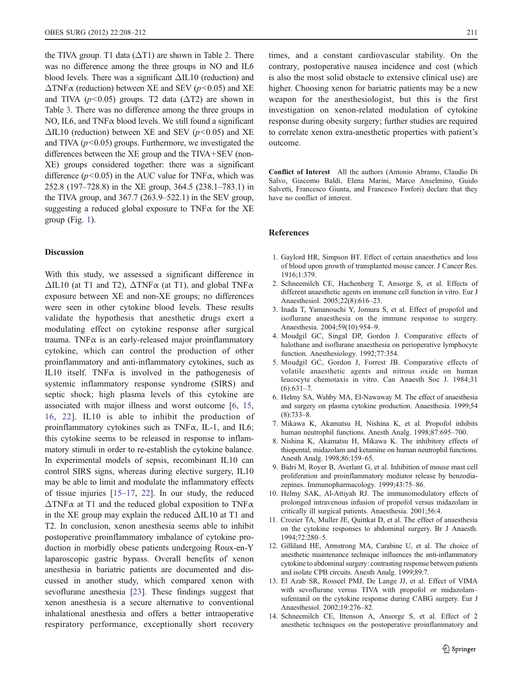<span id="page-3-0"></span>the TIVA group. T1 data ( $\Delta$ T1) are shown in Table [2.](#page-1-0) There was no difference among the three groups in NO and IL6 blood levels. There was a significant  $\Delta$ IL10 (reduction) and  $\Delta$ TNF $\alpha$  (reduction) between XE and SEV ( $p$ <0.05) and XE and TIVA ( $p$ <0.05) groups. T2 data ( $\Delta$ T2) are shown in Table [3](#page-2-0). There was no difference among the three groups in NO, IL6, and TNFα blood levels. We still found a significant  $\Delta$ IL10 (reduction) between XE and SEV ( $p$ <0.05) and XE and TIVA  $(p<0.05)$  groups. Furthermore, we investigated the differences between the XE group and the TIVA+SEV (non-XE) groups considered together: there was a significant difference ( $p$ <0.05) in the AUC value for TNF $\alpha$ , which was 252.8 (197–728.8) in the XE group, 364.5 (238.1–783.1) in the TIVA group, and 367.7 (263.9–522.1) in the SEV group, suggesting a reduced global exposure to  $TNF\alpha$  for the XE group (Fig. [1\)](#page-2-0).

# Discussion

With this study, we assessed a significant difference in  $\Delta$ IL10 (at T1 and T2),  $\Delta$ TNF $\alpha$  (at T1), and global TNF $\alpha$ exposure between XE and non-XE groups; no differences were seen in other cytokine blood levels. These results validate the hypothesis that anesthetic drugs exert a modulating effect on cytokine response after surgical trauma. TNF $\alpha$  is an early-released major proinflammatory cytokine, which can control the production of other proinflammatory and anti-inflammatory cytokines, such as IL10 itself. TNF $\alpha$  is involved in the pathogenesis of systemic inflammatory response syndrome (SIRS) and septic shock; high plasma levels of this cytokine are associated with major illness and worst outcome [6, [15,](#page-4-0) [16,](#page-4-0) [22\]](#page-4-0). IL10 is able to inhibit the production of proinflammatory cytokines such as  $TNF\alpha$ , IL-1, and IL6; this cytokine seems to be released in response to inflammatory stimuli in order to re-establish the cytokine balance. In experimental models of sepsis, recombinant IL10 can control SIRS signs, whereas during elective surgery, IL10 may be able to limit and modulate the inflammatory effects of tissue injuries [[15](#page-4-0)–[17,](#page-4-0) [22](#page-4-0)]. In our study, the reduced  $\Delta$ TNF $\alpha$  at T1 and the reduced global exposition to TNF $\alpha$ in the XE group may explain the reduced  $\Delta$ IL10 at T1 and T2. In conclusion, xenon anesthesia seems able to inhibit postoperative proinflammatory imbalance of cytokine production in morbidly obese patients undergoing Roux-en-Y laparoscopic gastric bypass. Overall benefits of xenon anesthesia in bariatric patients are documented and discussed in another study, which compared xenon with sevoflurane anesthesia [[23\]](#page-4-0). These findings suggest that xenon anesthesia is a secure alternative to conventional inhalational anesthesia and offers a better intraoperative respiratory performance, exceptionally short recovery

times, and a constant cardiovascular stability. On the contrary, postoperative nausea incidence and cost (which is also the most solid obstacle to extensive clinical use) are higher. Choosing xenon for bariatric patients may be a new weapon for the anesthesiologist, but this is the first investigation on xenon-related modulation of cytokine response during obesity surgery; further studies are required to correlate xenon extra-anesthetic properties with patient's outcome.

Conflict of Interest All the authors (Antonio Abramo, Claudio Di Salvo, Giacomo Baldi, Elena Marini, Marco Anselmino, Guido Salvetti, Francesco Giunta, and Francesco Forfori) declare that they have no conflict of interest.

#### References

- 1. Gaylord HR, Simpson BT. Effect of certain anaesthetics and loss of blood upon growth of transplanted mouse cancer. J Cancer Res. 1916;1:379.
- 2. Schneemilch CE, Hachenberg T, Ansorge S, et al. Effects of different anaesthetic agents on immune cell function in vitro. Eur J Anaesthesiol. 2005;22(8):616–23.
- 3. Inada T, Yamanouchi Y, Jomura S, et al. Effect of propofol and isoflurane anaesthesia on the immune response to surgery. Anaesthesia. 2004;59(10):954–9.
- 4. Moudgil GC, Singal DP, Gordon J. Comparative effects of halothane and isoflurane anaesthesia on perioperative lymphocyte function. Anesthesiology. 1992;77:354.
- 5. Moudgil GC, Gordon J, Forrest JB. Comparative effects of volatile anaesthetic agents and nitrous oxide on human leucocyte chemotaxis in vitro. Can Anaesth Soc J. 1984;31  $(6):631-7.$
- 6. Helmy SA, Wahby MA, El-Nawaway M. The effect of anaesthesia and surgery on plasma cytokine production. Anaesthesia. 1999;54 (8):733–8.
- 7. Mikawa K, Akamatsu H, Nishina K, et al. Propofol inhibits human neutrophil functions. Anesth Analg. 1998;87:695–700.
- 8. Nishina K, Akamatsu H, Mikawa K. The inhibitory effects of thiopental, midazolam and ketamine on human neutrophil functions. Anesth Analg. 1998;86:159–65.
- 9. Bidri M, Royer B, Averlant G, et al. Inhibition of mouse mast cell proliferation and proinflammatory mediator release by benzodiazepines. Immunopharmacology. 1999;43:75–86.
- 10. Helmy SAK, Al-Attiyah RJ. The immunomodulatory effects of prolonged intravenous infusion of propofol versus midazolam in critically ill surgical patients. Anaesthesia. 2001;56:4.
- 11. Crozier TA, Muller JE, Quittkat D, et al. The effect of anaesthesia on the cytokine responses to abdominal surgery. Br J Anaesth. 1994;72:280–5.
- 12. Gilliland HE, Armstrong MA, Carabine U, et al. The choice of anesthetic maintenance technique influences the anti-inflammatory cytokine to abdominal surgery: contrasting response between patients and isolate CPB circuits. Anesth Analg. 1999;89:7.
- 13. El Azab SR, Rosseel PMJ, De Lange JJ, et al. Effect of VIMA with sevoflurane versus TIVA with propofol or midazolam– sufentanil on the cytokine response during CABG surgery. Eur J Anaesthesiol. 2002;19:276–82.
- 14. Schneemilch CE, Ittenson A, Ansorge S, et al. Effect of 2 anesthetic techniques on the postoperative proinflammatory and